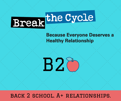# Break<sup>the Cycle</sup>

#### **Because Everyone Deserves a Healthy Relationship**



**B28**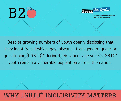**B28** 



**Because Everyone Deserves a Healthy Relationship** 

Despite growing numbers of youth openly disclosing that they identify as lesbian, gay, bisexual, transgender, queer or questioning (LGBTQ)\* during their school-age years, LGBTQ\* youth remain a vulnerable population across the nation.

#### why LGBTQ\* inclusivity matters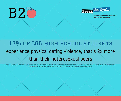## **B28**



**Because Everyone Deserves a Healthy Relationship** 

#### experience physical dating violence; that's 2x more than their heterosexual peers 17% of LGB high school students

Kann L, Olsen EO, McManus T, et al. Sexual Identity, Sex of Sexual Contacts, and Health-Related Behaviors Among Students in Grades 9–12 — United States and Selected Sites, 2015. MMWR Surveill Summ 2016;65(No. SS9):1–202. DOI: http://dx.doi.org/10.15585/mmwr.ss6509a1.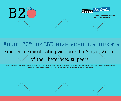**B28** 



**Because Everyone Deserves a Healthy Relationship** 

#### experience sexual dating violence; that's over 2x that of their heterosexual peers About 23% of LGB high school students

Kann L, Olsen EO, McManus T, et al. Sexual Identity, Sex of Sexual Contacts, and Health-Related Behaviors Among Students in Grades 9–12 — United States and Selected Sites, 2015. MMWR Surveill Summ 2016;65(No. SS9):1–202. DOI: http://dx.doi.org/10.15585/mmwr.ss6509a1.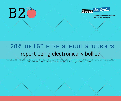



#### report being electronically bullied 28% of LGB high school students

Kann L, Olsen EO, McManus T, et al. Sexual Identity, Sex of Sexual Contacts, and Health-Related Behaviors Among Students in Grades 9–12 — United States and Selected Sites, 2015. MMWR Surveill Summ 2016;65(No. SS-9):1-202. DOI: http://dx.doi.org/10.15585/mmwr.ss6509a1.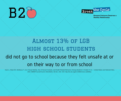



### did not go to school because they felt unsafe at or on their way to or from school Almost 13% of LGB high school students

Kann L, Olsen EO, McManus T, et al. Sexual Identity, Sex of Sexual Contacts, and Health-Related Behaviors Among Students in Grades 9–12 — United States and Selected Sites, 2015. MMWR Surveill Summ 2016;65(No. SS-9):1-202. DOI: http://dx.doi.org/10.15585/mmwr.ss6509a1.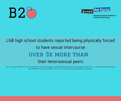



#### LGB high school students reported being physically forced to have sexual intercourse over 3x more than their heterosexual peers

Kann L, Olsen EO, McManus T, et al. Sexual Identity, Sex of Sexual Contacts, and Health-Related Behaviors Among Students in Grades 9–12 — United States and Selected Sites, 2015. MMWR Surveill Summ 2016;65(No. SS9):1–202. DOI: http://dx.doi.org/10.15585/mmwr.ss6509a1.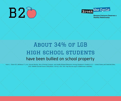



#### have been bullied on school property About 34% of LGB high school students

Kann L, Olsen EO, McManus T, et al. Sexual Identity, Sex of Sexual Contacts, and Health-Related Behaviors Among Students in Grades 9–12 — United States and Selected Sites, 2015. MMWR Surveill Summ 2016;65(No. SS-9):1-202. DOI: http://dx.doi.org/10.15585/mmwr.ss6509a1.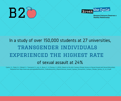



#### In a study of over 150,000 students at 27 universities, transgender individuals experienced the highest rate of sexual assault at 24%

Cantor, D., Fisher, B., Chibnall, S., Townsend, R., Lee, H., Bruce, C., & Thomas, G. (2015). Report on the AAU Campus Climate Survey on Sexual Assault and Sexual Misconduct. Retrieved from https://www.aau.edu/uploadedFiles/AAU\_Publications/AAU\_Reports/Sexual\_Assault\_Campus\_Survey/AAU\_Campus\_Climate\_Survey\_12\_14\_15.pdf.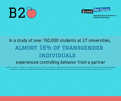



#### In a study of over 150,000 students at 27 universities, almost 16% of transgender individuals experienced controlling behavior from a partner

Cantor, D., Fisher, B., Chibnall, S., Townsend, R., Lee, H., Bruce, C., & Thomas, G. (2015). Report on the AAU Campus Climate Survey on Sexual Assault and Sexual Misconduct. Retrieved from https://www.aau.edu/uploadedFiles/AAU\_Publications/AAU\_Reports/Sexual\_Assault\_Campus\_Survey/AAU\_Campus\_Climate\_Survey\_12\_14\_15.pdf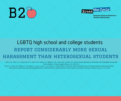



#### report considerably more sexual harassment than heterosexual students LGBTQ high school and college students

Clear, E.R., Coker, A.L., Cook-Craig, P.G., Bush, H.M., Garcia, L.S., Williams, C.M., Lewis, A.M., & Fisher, B.S. (2014). Sexual Harassment Victimization and Perpetration Among High School Students. Violence Against Women, 20, 1203-1219.

Cantor, D., Fisher, B., Chibnall, S., Townsend, R., Lee, H., Bruce, C., & Thomas, G. (2015). Report on the AAU Campus Climate Survey on Sexual Assault and Sexual Misconduct. Retrieved from https://www.aau.edu/uploadedFiles/AAU\_Publications/AAU\_Reports/Sexual\_Assault\_Campus\_Survey/AAU\_Campus\_Climate\_Survey\_12\_14\_15.pdf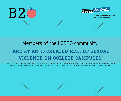



#### are at an increased risk of sexual violence on college campuses Members of the LGBTQ community

Cantor, D., Fisher, B., Chibnall, S., Townsend, R., Lee, H., Bruce, C., & Thomas, G. (2015). Report on the AAU Campus Climate Survey on Sexual Assault and Sexual Misconduct. Retrieved from https://www.aau.edu/uploadedFiles/AAU\_Publications/AAU\_Reports/Sexual\_Assault\_Campus\_Survey/AAU\_Campus\_Climate\_Survey\_12\_14\_15.pdf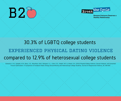



#### compared to 12.9% of heterosexual college students 30.3% of LGBTQ college students experienced physical dating violence

Edwards, K. M., Sylaska, K.M., Barry, J.E., Moynihan, M.M., Banyard, V.L., Cohn, E.S., Walsh, W.A., & Ward, S.K. (2015) Physical Dating Violence, Sexual Violence, and Unwanted Pursuit Victimization: A Comparison of Incidence Rates Among Sexual-Minority and Heterosexual College Students. Journal of Interpersonal Violence, 30, 590-600.